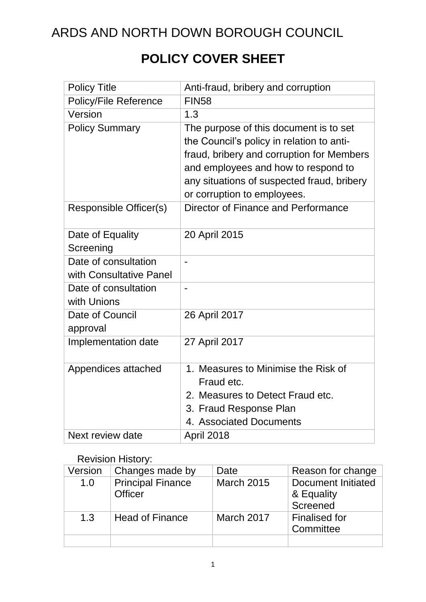## **POLICY COVER SHEET**

| <b>Policy Title</b>           | Anti-fraud, bribery and corruption         |
|-------------------------------|--------------------------------------------|
| <b>Policy/File Reference</b>  | <b>FIN58</b>                               |
| Version                       | 1.3                                        |
| <b>Policy Summary</b>         | The purpose of this document is to set     |
|                               | the Council's policy in relation to anti-  |
|                               | fraud, bribery and corruption for Members  |
|                               | and employees and how to respond to        |
|                               | any situations of suspected fraud, bribery |
|                               | or corruption to employees.                |
| <b>Responsible Officer(s)</b> | Director of Finance and Performance        |
|                               |                                            |
| Date of Equality              | 20 April 2015                              |
| Screening                     |                                            |
| Date of consultation          |                                            |
| with Consultative Panel       |                                            |
| Date of consultation          | $\blacksquare$                             |
| with Unions                   |                                            |
| Date of Council               | 26 April 2017                              |
| approval                      |                                            |
| Implementation date           | 27 April 2017                              |
|                               |                                            |
| Appendices attached           | 1. Measures to Minimise the Risk of        |
|                               | Fraud etc.                                 |
|                               | 2. Measures to Detect Fraud etc.           |
|                               | 3. Fraud Response Plan                     |
|                               | 4. Associated Documents                    |
| Next review date              | April 2018                                 |

#### Revision History:

| Version | Changes made by                            | Date              | Reason for change                                   |
|---------|--------------------------------------------|-------------------|-----------------------------------------------------|
| 1.0     | <b>Principal Finance</b><br><b>Officer</b> | <b>March 2015</b> | <b>Document Initiated</b><br>& Equality<br>Screened |
| 1.3     | <b>Head of Finance</b>                     | March 2017        | <b>Finalised for</b><br>Committee                   |
|         |                                            |                   |                                                     |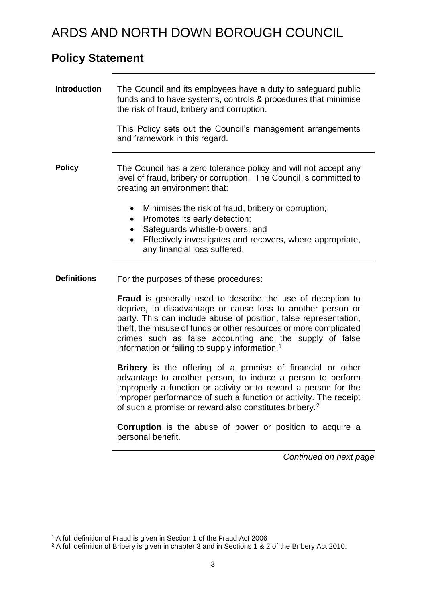### **Policy Statement**

| <b>Introduction</b> | The Council and its employees have a duty to safeguard public<br>funds and to have systems, controls & procedures that minimise                                                                                                                                                                                                                                                              |
|---------------------|----------------------------------------------------------------------------------------------------------------------------------------------------------------------------------------------------------------------------------------------------------------------------------------------------------------------------------------------------------------------------------------------|
|                     | the risk of fraud, bribery and corruption.                                                                                                                                                                                                                                                                                                                                                   |
|                     | This Policy sets out the Council's management arrangements<br>and framework in this regard.                                                                                                                                                                                                                                                                                                  |
| <b>Policy</b>       | The Council has a zero tolerance policy and will not accept any<br>level of fraud, bribery or corruption. The Council is committed to<br>creating an environment that:                                                                                                                                                                                                                       |
|                     | Minimises the risk of fraud, bribery or corruption;<br>$\bullet$<br>Promotes its early detection;<br>$\bullet$                                                                                                                                                                                                                                                                               |
|                     | Safeguards whistle-blowers; and<br>$\bullet$                                                                                                                                                                                                                                                                                                                                                 |
|                     | Effectively investigates and recovers, where appropriate,<br>$\bullet$<br>any financial loss suffered.                                                                                                                                                                                                                                                                                       |
| <b>Definitions</b>  | For the purposes of these procedures:                                                                                                                                                                                                                                                                                                                                                        |
|                     | Fraud is generally used to describe the use of deception to<br>deprive, to disadvantage or cause loss to another person or<br>party. This can include abuse of position, false representation,<br>theft, the misuse of funds or other resources or more complicated<br>crimes such as false accounting and the supply of false<br>information or failing to supply information. <sup>1</sup> |
|                     | <b>Bribery</b> is the offering of a promise of financial or other<br>advantage to another person, to induce a person to perform<br>improperly a function or activity or to reward a person for the<br>improper performance of such a function or activity. The receipt<br>of such a promise or reward also constitutes bribery. <sup>2</sup>                                                 |
|                     | <b>Corruption</b> is the abuse of power or position to acquire a<br>personal benefit.                                                                                                                                                                                                                                                                                                        |
|                     | Continued on next page                                                                                                                                                                                                                                                                                                                                                                       |

<sup>1</sup> <sup>1</sup> A full definition of Fraud is given in Section 1 of the Fraud Act 2006

<sup>&</sup>lt;sup>2</sup> A full definition of Bribery is given in chapter 3 and in Sections 1 & 2 of the Bribery Act 2010.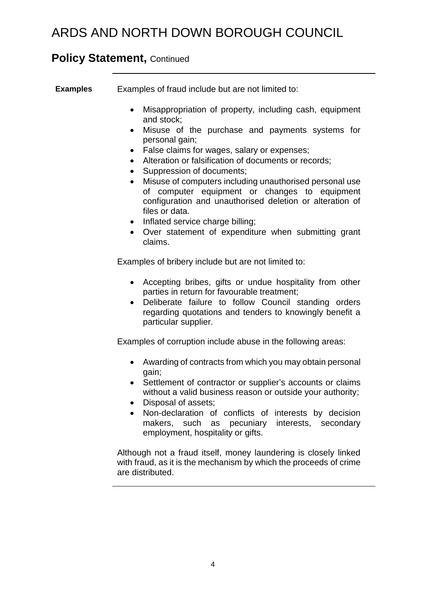### **Policy Statement, Continued**

**Examples** Examples of fraud include but are not limited to:

- Misappropriation of property, including cash, equipment and stock;
- Misuse of the purchase and payments systems for personal gain;
- False claims for wages, salary or expenses;
- Alteration or falsification of documents or records;
- Suppression of documents:
- Misuse of computers including unauthorised personal use of computer equipment or changes to equipment configuration and unauthorised deletion or alteration of files or data.
- Inflated service charge billing;
- Over statement of expenditure when submitting grant claims.

Examples of bribery include but are not limited to:

- Accepting bribes, gifts or undue hospitality from other parties in return for favourable treatment;
- Deliberate failure to follow Council standing orders regarding quotations and tenders to knowingly benefit a particular supplier.

Examples of corruption include abuse in the following areas:

- Awarding of contracts from which you may obtain personal gain;
- Settlement of contractor or supplier's accounts or claims without a valid business reason or outside your authority;
- Disposal of assets;
- Non-declaration of conflicts of interests by decision makers, such as pecuniary interests, secondary employment, hospitality or gifts.

Although not a fraud itself, money laundering is closely linked with fraud, as it is the mechanism by which the proceeds of crime are distributed.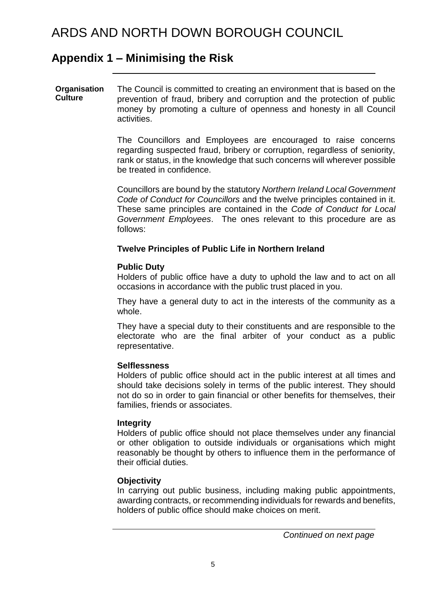### **Appendix 1 – Minimising the Risk**

#### **Organisation Culture** The Council is committed to creating an environment that is based on the prevention of fraud, bribery and corruption and the protection of public money by promoting a culture of openness and honesty in all Council activities.

The Councillors and Employees are encouraged to raise concerns regarding suspected fraud, bribery or corruption, regardless of seniority, rank or status, in the knowledge that such concerns will wherever possible be treated in confidence.

Councillors are bound by the statutory *Northern Ireland Local Government Code of Conduct for Councillors* and the twelve principles contained in it. These same principles are contained in the *Code of Conduct for Local Government Employees*. The ones relevant to this procedure are as follows:

#### **Twelve Principles of Public Life in Northern Ireland**

#### **Public Duty**

Holders of public office have a duty to uphold the law and to act on all occasions in accordance with the public trust placed in you.

They have a general duty to act in the interests of the community as a whole.

They have a special duty to their constituents and are responsible to the electorate who are the final arbiter of your conduct as a public representative.

#### **Selflessness**

Holders of public office should act in the public interest at all times and should take decisions solely in terms of the public interest. They should not do so in order to gain financial or other benefits for themselves, their families, friends or associates.

#### **Integrity**

Holders of public office should not place themselves under any financial or other obligation to outside individuals or organisations which might reasonably be thought by others to influence them in the performance of their official duties.

#### **Objectivity**

In carrying out public business, including making public appointments, awarding contracts, or recommending individuals for rewards and benefits, holders of public office should make choices on merit.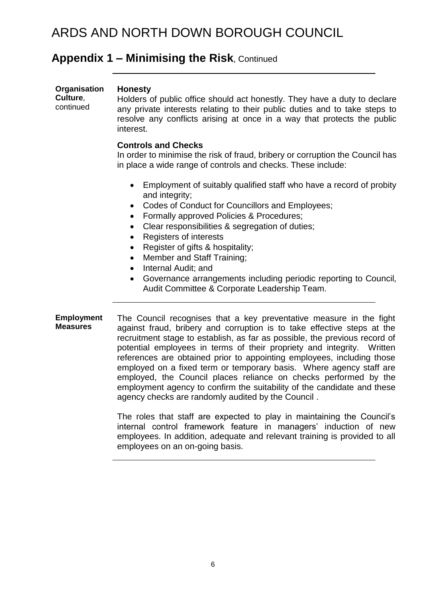### **Appendix 1 – Minimising the Risk**, Continued

| Organisation<br>Culture,<br>continued | <b>Honesty</b><br>Holders of public office should act honestly. They have a duty to declare<br>any private interests relating to their public duties and to take steps to<br>resolve any conflicts arising at once in a way that protects the public<br>interest.                                                                                                                                                                        |  |
|---------------------------------------|------------------------------------------------------------------------------------------------------------------------------------------------------------------------------------------------------------------------------------------------------------------------------------------------------------------------------------------------------------------------------------------------------------------------------------------|--|
|                                       | <b>Controls and Checks</b><br>In order to minimise the risk of fraud, bribery or corruption the Council has<br>in place a wide range of controls and checks. These include:                                                                                                                                                                                                                                                              |  |
|                                       | Employment of suitably qualified staff who have a record of probity<br>$\bullet$<br>and integrity;<br>Codes of Conduct for Councillors and Employees;<br>Formally approved Policies & Procedures;<br>$\bullet$<br>Clear responsibilities & segregation of duties;<br>$\bullet$<br>Registers of interests<br>$\bullet$<br>Register of gifts & hospitality;<br>$\bullet$<br>Member and Staff Training;<br>$\bullet$<br>Internal Audit; and |  |

- Governance arrangements including periodic reporting to Council, Audit Committee & Corporate Leadership Team.
- **Employment Measures** The Council recognises that a key preventative measure in the fight against fraud, bribery and corruption is to take effective steps at the recruitment stage to establish, as far as possible, the previous record of potential employees in terms of their propriety and integrity. Written references are obtained prior to appointing employees, including those employed on a fixed term or temporary basis. Where agency staff are employed, the Council places reliance on checks performed by the employment agency to confirm the suitability of the candidate and these agency checks are randomly audited by the Council .

The roles that staff are expected to play in maintaining the Council's internal control framework feature in managers' induction of new employees. In addition, adequate and relevant training is provided to all employees on an on-going basis.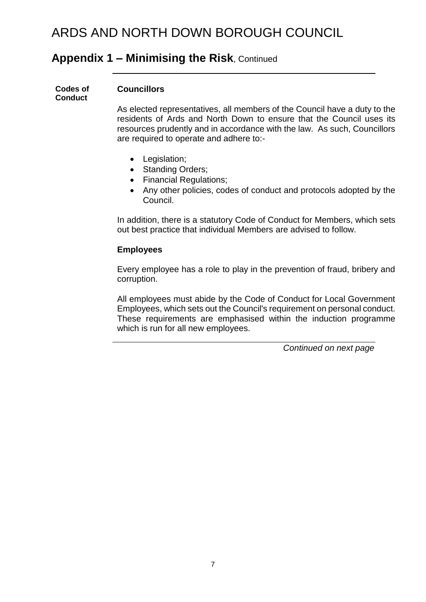### **Appendix 1 – Minimising the Risk**, Continued

**Codes of Conduct**

#### **Councillors**

As elected representatives, all members of the Council have a duty to the residents of Ards and North Down to ensure that the Council uses its resources prudently and in accordance with the law. As such, Councillors are required to operate and adhere to:-

- Legislation;
- Standing Orders;
- Financial Regulations;
- Any other policies, codes of conduct and protocols adopted by the Council.

In addition, there is a statutory Code of Conduct for Members, which sets out best practice that individual Members are advised to follow.

#### **Employees**

Every employee has a role to play in the prevention of fraud, bribery and corruption.

All employees must abide by the Code of Conduct for Local Government Employees, which sets out the Council's requirement on personal conduct. These requirements are emphasised within the induction programme which is run for all new employees.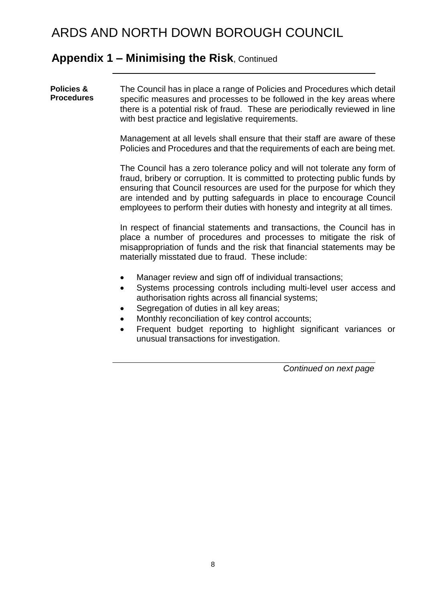### **Appendix 1 – Minimising the Risk**, Continued

**Policies & Procedures**  The Council has in place a range of Policies and Procedures which detail specific measures and processes to be followed in the key areas where there is a potential risk of fraud. These are periodically reviewed in line with best practice and legislative requirements.

> Management at all levels shall ensure that their staff are aware of these Policies and Procedures and that the requirements of each are being met.

> The Council has a zero tolerance policy and will not tolerate any form of fraud, bribery or corruption. It is committed to protecting public funds by ensuring that Council resources are used for the purpose for which they are intended and by putting safeguards in place to encourage Council employees to perform their duties with honesty and integrity at all times.

> In respect of financial statements and transactions, the Council has in place a number of procedures and processes to mitigate the risk of misappropriation of funds and the risk that financial statements may be materially misstated due to fraud. These include:

- Manager review and sign off of individual transactions;
- Systems processing controls including multi-level user access and authorisation rights across all financial systems;
- Segregation of duties in all key areas;
- Monthly reconciliation of key control accounts;
- Frequent budget reporting to highlight significant variances or unusual transactions for investigation.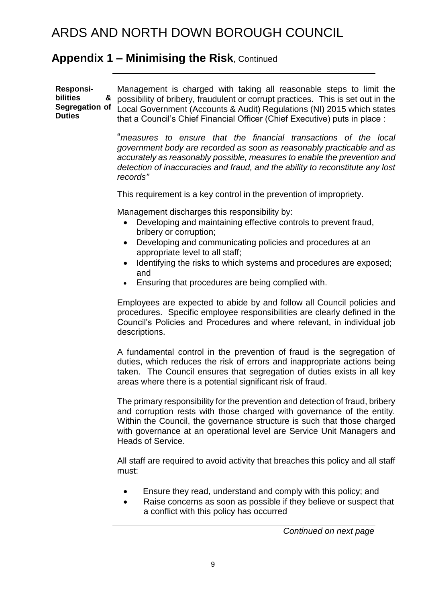### **Appendix 1 – Minimising the Risk**, Continued

**Responsibilities & Segregation of Duties** Management is charged with taking all reasonable steps to limit the possibility of bribery, fraudulent or corrupt practices. This is set out in the Local Government (Accounts & Audit) Regulations (NI) 2015 which states that a Council's Chief Financial Officer (Chief Executive) puts in place :

> "*measures to ensure that the financial transactions of the local government body are recorded as soon as reasonably practicable and as accurately as reasonably possible, measures to enable the prevention and detection of inaccuracies and fraud, and the ability to reconstitute any lost records"*

This requirement is a key control in the prevention of impropriety.

Management discharges this responsibility by:

- Developing and maintaining effective controls to prevent fraud, bribery or corruption;
- Developing and communicating policies and procedures at an appropriate level to all staff;
- Identifying the risks to which systems and procedures are exposed; and
- Ensuring that procedures are being complied with.

Employees are expected to abide by and follow all Council policies and procedures. Specific employee responsibilities are clearly defined in the Council's Policies and Procedures and where relevant, in individual job descriptions.

A fundamental control in the prevention of fraud is the segregation of duties, which reduces the risk of errors and inappropriate actions being taken. The Council ensures that segregation of duties exists in all key areas where there is a potential significant risk of fraud.

The primary responsibility for the prevention and detection of fraud, bribery and corruption rests with those charged with governance of the entity. Within the Council, the governance structure is such that those charged with governance at an operational level are Service Unit Managers and Heads of Service.

All staff are required to avoid activity that breaches this policy and all staff must:

- Ensure they read, understand and comply with this policy; and
- Raise concerns as soon as possible if they believe or suspect that a conflict with this policy has occurred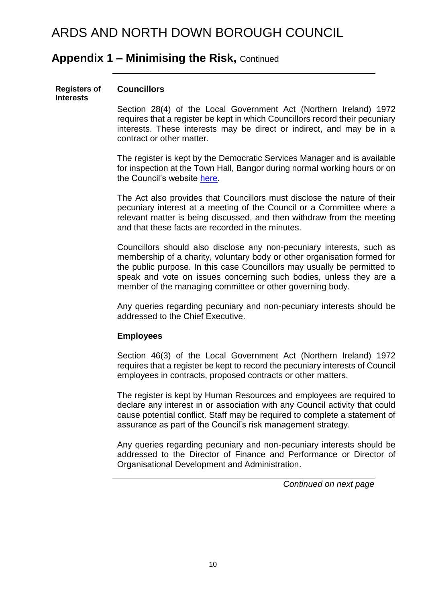#### **Appendix 1 – Minimising the Risk,** Continued

#### **Registers of Interests Councillors**

Section 28(4) of the Local Government Act (Northern Ireland) 1972 requires that a register be kept in which Councillors record their pecuniary interests. These interests may be direct or indirect, and may be in a contract or other matter.

The register is kept by the Democratic Services Manager and is available for inspection at the Town Hall, Bangor during normal working hours or on the Council's website [here.](http://www.ardsandnorthdown.gov.uk/about-the-council/declaration-of-interests)

The Act also provides that Councillors must disclose the nature of their pecuniary interest at a meeting of the Council or a Committee where a relevant matter is being discussed, and then withdraw from the meeting and that these facts are recorded in the minutes.

Councillors should also disclose any non-pecuniary interests, such as membership of a charity, voluntary body or other organisation formed for the public purpose. In this case Councillors may usually be permitted to speak and vote on issues concerning such bodies, unless they are a member of the managing committee or other governing body.

Any queries regarding pecuniary and non-pecuniary interests should be addressed to the Chief Executive.

#### **Employees**

Section 46(3) of the Local Government Act (Northern Ireland) 1972 requires that a register be kept to record the pecuniary interests of Council employees in contracts, proposed contracts or other matters.

The register is kept by Human Resources and employees are required to declare any interest in or association with any Council activity that could cause potential conflict. Staff may be required to complete a statement of assurance as part of the Council's risk management strategy.

Any queries regarding pecuniary and non-pecuniary interests should be addressed to the Director of Finance and Performance or Director of Organisational Development and Administration.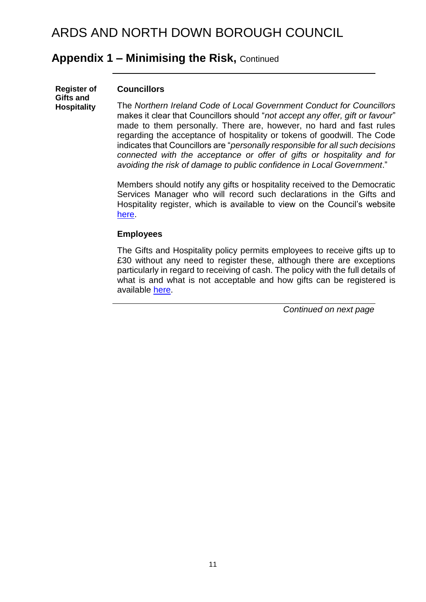### **Appendix 1 – Minimising the Risk,** Continued

| <b>Register of</b><br>Gifts and<br><b>Hospitality</b> | <b>Councillors</b>                                                                                                                                     |
|-------------------------------------------------------|--------------------------------------------------------------------------------------------------------------------------------------------------------|
|                                                       | The Northern Ireland Code of Local Government Conduct for Councillors<br>makes it clear that Councillors should "not accept any offer, gift or favour" |

made to them personally. There are, however, no hard and fast rules regarding the acceptance of hospitality or tokens of goodwill. The Code indicates that Councillors are "*personally responsible for all such decisions connected with the acceptance or offer of gifts or hospitality and for avoiding the risk of damage to public confidence in Local Government*."

Members should notify any gifts or hospitality received to the Democratic Services Manager who will record such declarations in the Gifts and Hospitality register, which is available to view on the Council's website [here.](http://www.ardsandnorthdown.gov.uk/about-the-council/register-of-gifts-and-hospitality)

#### **Employees**

The Gifts and Hospitality policy permits employees to receive gifts up to £30 without any need to register these, although there are exceptions particularly in regard to receiving of cash. The policy with the full details of what is and what is not acceptable and how gifts can be registered is available [here.](http://ndbc-vintranet/staffmatters/index.php/policies-and-procedures)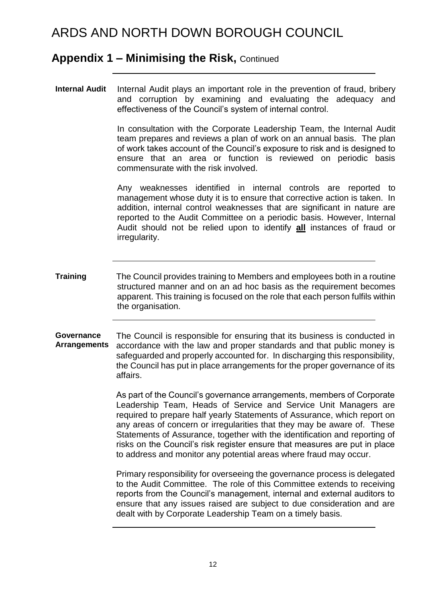### **Appendix 1 – Minimising the Risk,** Continued

**Internal Audit** Internal Audit plays an important role in the prevention of fraud, bribery and corruption by examining and evaluating the adequacy and effectiveness of the Council's system of internal control.

> In consultation with the Corporate Leadership Team, the Internal Audit team prepares and reviews a plan of work on an annual basis. The plan of work takes account of the Council's exposure to risk and is designed to ensure that an area or function is reviewed on periodic basis commensurate with the risk involved.

> Any weaknesses identified in internal controls are reported to management whose duty it is to ensure that corrective action is taken. In addition, internal control weaknesses that are significant in nature are reported to the Audit Committee on a periodic basis. However, Internal Audit should not be relied upon to identify **all** instances of fraud or irregularity.

**Training** The Council provides training to Members and employees both in a routine structured manner and on an ad hoc basis as the requirement becomes apparent. This training is focused on the role that each person fulfils within the organisation.

**Governance Arrangements** The Council is responsible for ensuring that its business is conducted in accordance with the law and proper standards and that public money is safeguarded and properly accounted for. In discharging this responsibility, the Council has put in place arrangements for the proper governance of its affairs.

> As part of the Council's governance arrangements, members of Corporate Leadership Team, Heads of Service and Service Unit Managers are required to prepare half yearly Statements of Assurance, which report on any areas of concern or irregularities that they may be aware of. These Statements of Assurance, together with the identification and reporting of risks on the Council's risk register ensure that measures are put in place to address and monitor any potential areas where fraud may occur.

> Primary responsibility for overseeing the governance process is delegated to the Audit Committee. The role of this Committee extends to receiving reports from the Council's management, internal and external auditors to ensure that any issues raised are subject to due consideration and are dealt with by Corporate Leadership Team on a timely basis.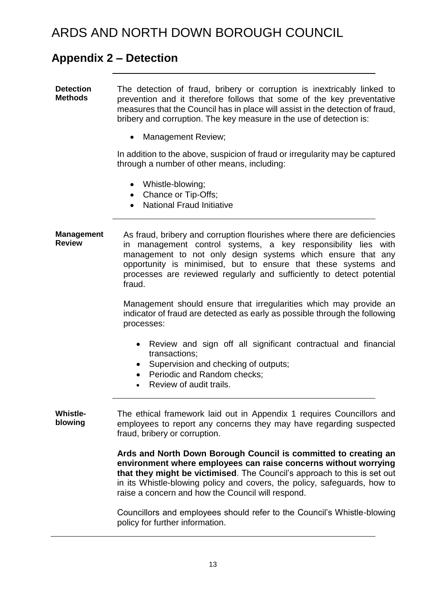### **Appendix 2 – Detection**

**Detection Methods** The detection of fraud, bribery or corruption is inextricably linked to prevention and it therefore follows that some of the key preventative measures that the Council has in place will assist in the detection of fraud, bribery and corruption. The key measure in the use of detection is:

• Management Review;

In addition to the above, suspicion of fraud or irregularity may be captured through a number of other means, including:

- Whistle-blowing;
- Chance or Tip-Offs;
- National Fraud Initiative

**Management Review** As fraud, bribery and corruption flourishes where there are deficiencies in management control systems, a key responsibility lies with management to not only design systems which ensure that any opportunity is minimised, but to ensure that these systems and processes are reviewed regularly and sufficiently to detect potential fraud.

> Management should ensure that irregularities which may provide an indicator of fraud are detected as early as possible through the following processes:

- Review and sign off all significant contractual and financial transactions;
- Supervision and checking of outputs;
- Periodic and Random checks:
- Review of audit trails.

**Whistleblowing** The ethical framework laid out in Appendix 1 requires Councillors and employees to report any concerns they may have regarding suspected fraud, bribery or corruption.

> **Ards and North Down Borough Council is committed to creating an environment where employees can raise concerns without worrying that they might be victimised**. The Council's approach to this is set out in its Whistle-blowing policy and covers, the policy, safeguards, how to raise a concern and how the Council will respond.

> Councillors and employees should refer to the Council's Whistle-blowing policy for further information.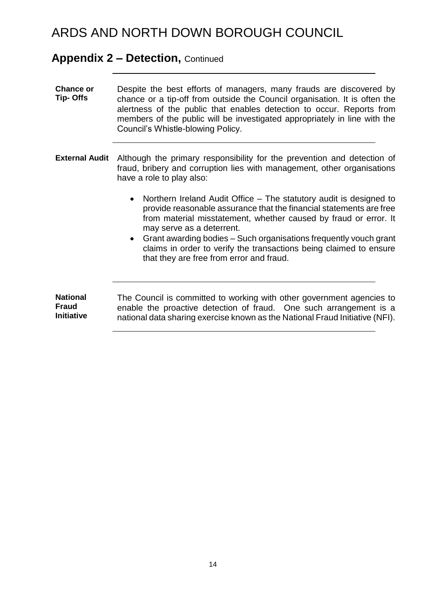#### **Appendix 2 – Detection,** Continued

- **Chance or Tip- Offs**  Despite the best efforts of managers, many frauds are discovered by chance or a tip-off from outside the Council organisation. It is often the alertness of the public that enables detection to occur. Reports from members of the public will be investigated appropriately in line with the Council's Whistle-blowing Policy.
- **External Audit** Although the primary responsibility for the prevention and detection of fraud, bribery and corruption lies with management, other organisations have a role to play also:
	- Northern Ireland Audit Office The statutory audit is designed to provide reasonable assurance that the financial statements are free from material misstatement, whether caused by fraud or error. It may serve as a deterrent.
	- Grant awarding bodies Such organisations frequently vouch grant claims in order to verify the transactions being claimed to ensure that they are free from error and fraud.

**National Fraud Initiative** The Council is committed to working with other government agencies to enable the proactive detection of fraud. One such arrangement is a national data sharing exercise known as the National Fraud Initiative (NFI).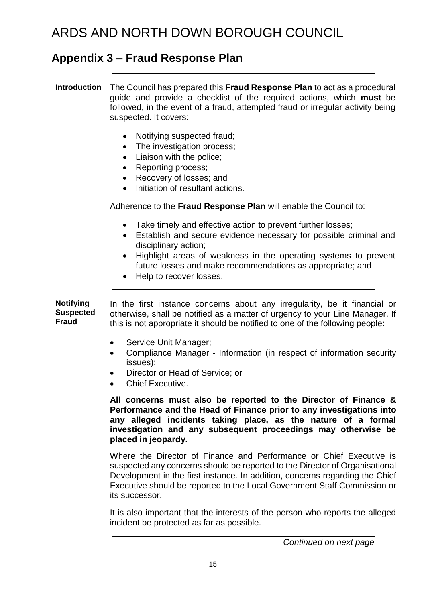### **Appendix 3 – Fraud Response Plan**

**Introduction** The Council has prepared this **Fraud Response Plan** to act as a procedural guide and provide a checklist of the required actions, which **must** be followed, in the event of a fraud, attempted fraud or irregular activity being suspected. It covers:

- Notifying suspected fraud;
- The investigation process;
- Liaison with the police;
- Reporting process;
- Recovery of losses; and
- Initiation of resultant actions.

Adherence to the **Fraud Response Plan** will enable the Council to:

- Take timely and effective action to prevent further losses;
- Establish and secure evidence necessary for possible criminal and disciplinary action;
- Highlight areas of weakness in the operating systems to prevent future losses and make recommendations as appropriate; and
- Help to recover losses.

**Notifying Suspected Fraud** In the first instance concerns about any irregularity, be it financial or otherwise, shall be notified as a matter of urgency to your Line Manager. If this is not appropriate it should be notified to one of the following people:

- Service Unit Manager;
- Compliance Manager Information (in respect of information security issues);
- Director or Head of Service; or
- Chief Executive.

**All concerns must also be reported to the Director of Finance & Performance and the Head of Finance prior to any investigations into any alleged incidents taking place, as the nature of a formal investigation and any subsequent proceedings may otherwise be placed in jeopardy.**

Where the Director of Finance and Performance or Chief Executive is suspected any concerns should be reported to the Director of Organisational Development in the first instance. In addition, concerns regarding the Chief Executive should be reported to the Local Government Staff Commission or its successor.

It is also important that the interests of the person who reports the alleged incident be protected as far as possible.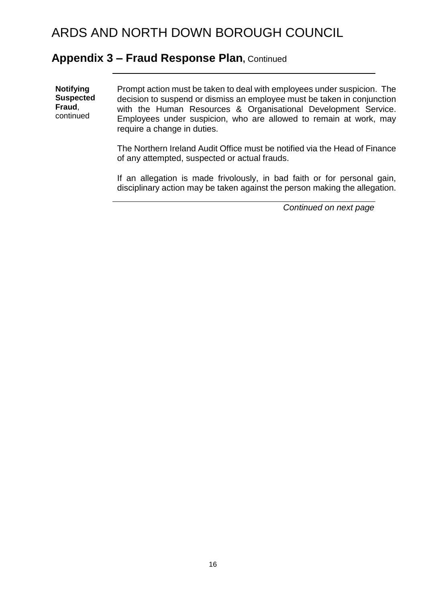#### **Appendix 3 – Fraud Response Plan,** Continued

**Notifying Suspected Fraud**, continued Prompt action must be taken to deal with employees under suspicion. The decision to suspend or dismiss an employee must be taken in conjunction with the Human Resources & Organisational Development Service. Employees under suspicion, who are allowed to remain at work, may require a change in duties.

> The Northern Ireland Audit Office must be notified via the Head of Finance of any attempted, suspected or actual frauds.

> If an allegation is made frivolously, in bad faith or for personal gain, disciplinary action may be taken against the person making the allegation.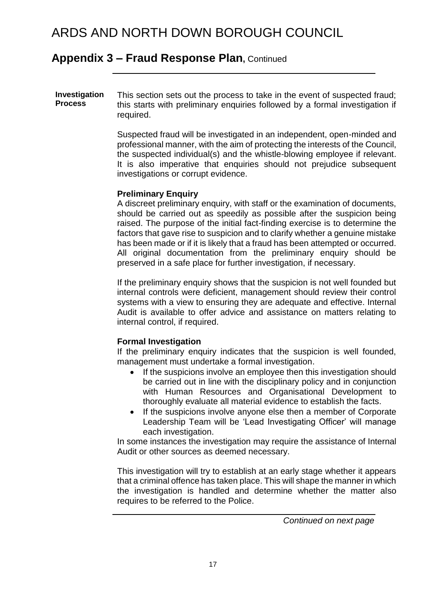### **Appendix 3 – Fraud Response Plan,** Continued

**Investigation Process** This section sets out the process to take in the event of suspected fraud; this starts with preliminary enquiries followed by a formal investigation if required.

> Suspected fraud will be investigated in an independent, open-minded and professional manner, with the aim of protecting the interests of the Council, the suspected individual(s) and the whistle-blowing employee if relevant. It is also imperative that enquiries should not prejudice subsequent investigations or corrupt evidence.

#### **Preliminary Enquiry**

A discreet preliminary enquiry, with staff or the examination of documents, should be carried out as speedily as possible after the suspicion being raised. The purpose of the initial fact-finding exercise is to determine the factors that gave rise to suspicion and to clarify whether a genuine mistake has been made or if it is likely that a fraud has been attempted or occurred. All original documentation from the preliminary enquiry should be preserved in a safe place for further investigation, if necessary.

If the preliminary enquiry shows that the suspicion is not well founded but internal controls were deficient, management should review their control systems with a view to ensuring they are adequate and effective. Internal Audit is available to offer advice and assistance on matters relating to internal control, if required.

#### **Formal Investigation**

If the preliminary enquiry indicates that the suspicion is well founded, management must undertake a formal investigation.

- If the suspicions involve an emplovee then this investigation should be carried out in line with the disciplinary policy and in conjunction with Human Resources and Organisational Development to thoroughly evaluate all material evidence to establish the facts.
- If the suspicions involve anyone else then a member of Corporate Leadership Team will be 'Lead Investigating Officer' will manage each investigation.

In some instances the investigation may require the assistance of Internal Audit or other sources as deemed necessary.

This investigation will try to establish at an early stage whether it appears that a criminal offence has taken place. This will shape the manner in which the investigation is handled and determine whether the matter also requires to be referred to the Police.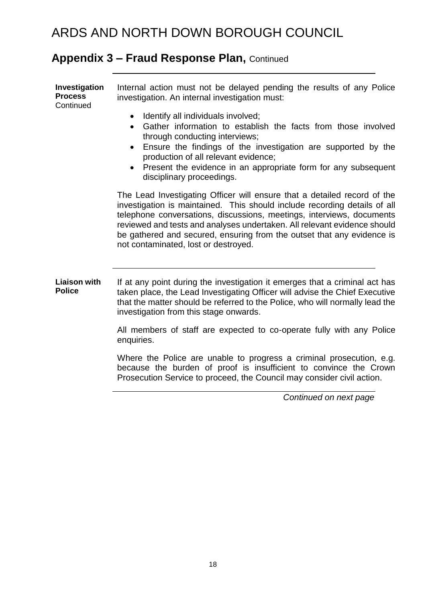## **Appendix 3 – Fraud Response Plan,** Continued

| Investigation<br><b>Process</b><br>Continued | Internal action must not be delayed pending the results of any Police<br>investigation. An internal investigation must:                                                                                                                                                                                                                                                                                                      |
|----------------------------------------------|------------------------------------------------------------------------------------------------------------------------------------------------------------------------------------------------------------------------------------------------------------------------------------------------------------------------------------------------------------------------------------------------------------------------------|
|                                              | Identify all individuals involved;<br>$\bullet$<br>Gather information to establish the facts from those involved<br>through conducting interviews;<br>Ensure the findings of the investigation are supported by the<br>$\bullet$<br>production of all relevant evidence;<br>Present the evidence in an appropriate form for any subsequent<br>disciplinary proceedings.                                                      |
|                                              | The Lead Investigating Officer will ensure that a detailed record of the<br>investigation is maintained. This should include recording details of all<br>telephone conversations, discussions, meetings, interviews, documents<br>reviewed and tests and analyses undertaken. All relevant evidence should<br>be gathered and secured, ensuring from the outset that any evidence is<br>not contaminated, lost or destroyed. |
| <b>Liaison with</b><br><b>Police</b>         | If at any point during the investigation it emerges that a criminal act has<br>taken place, the Lead Investigating Officer will advise the Chief Executive<br>that the matter should be referred to the Police, who will normally lead the<br>investigation from this stage onwards.                                                                                                                                         |
|                                              | All members of staff are expected to co-operate fully with any Police<br>enquiries.                                                                                                                                                                                                                                                                                                                                          |
|                                              | Where the Police are unable to progress a criminal prosecution, e.g.<br>because the burden of proof is insufficient to convince the Crown<br>Prosecution Service to proceed, the Council may consider civil action.                                                                                                                                                                                                          |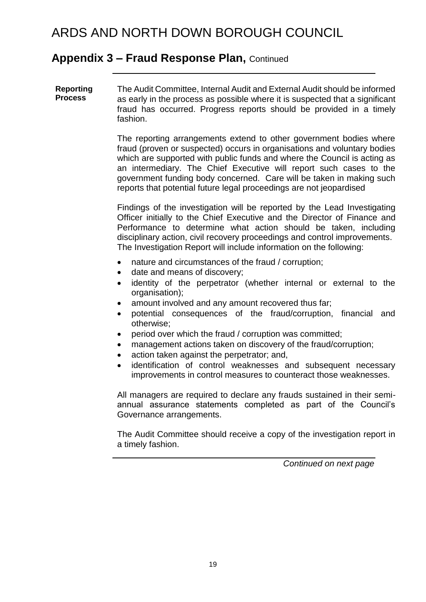### **Appendix 3 – Fraud Response Plan,** Continued

**Reporting Process** The Audit Committee, Internal Audit and External Audit should be informed as early in the process as possible where it is suspected that a significant fraud has occurred. Progress reports should be provided in a timely fashion.

> The reporting arrangements extend to other government bodies where fraud (proven or suspected) occurs in organisations and voluntary bodies which are supported with public funds and where the Council is acting as an intermediary. The Chief Executive will report such cases to the government funding body concerned. Care will be taken in making such reports that potential future legal proceedings are not jeopardised

> Findings of the investigation will be reported by the Lead Investigating Officer initially to the Chief Executive and the Director of Finance and Performance to determine what action should be taken, including disciplinary action, civil recovery proceedings and control improvements. The Investigation Report will include information on the following:

- nature and circumstances of the fraud / corruption;
- date and means of discovery;
- identity of the perpetrator (whether internal or external to the organisation);
- amount involved and any amount recovered thus far;
- potential consequences of the fraud/corruption, financial and otherwise;
- period over which the fraud / corruption was committed;
- management actions taken on discovery of the fraud/corruption;
- action taken against the perpetrator; and,
- identification of control weaknesses and subsequent necessary improvements in control measures to counteract those weaknesses.

All managers are required to declare any frauds sustained in their semiannual assurance statements completed as part of the Council's Governance arrangements.

The Audit Committee should receive a copy of the investigation report in a timely fashion.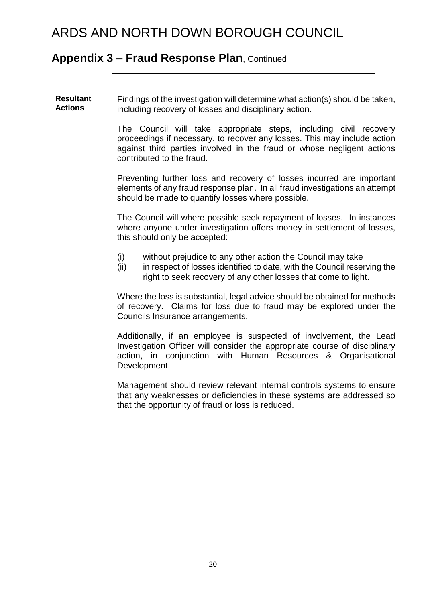#### **Appendix 3 – Fraud Response Plan**, Continued

**Resultant Actions** Findings of the investigation will determine what action(s) should be taken, including recovery of losses and disciplinary action.

> The Council will take appropriate steps, including civil recovery proceedings if necessary, to recover any losses. This may include action against third parties involved in the fraud or whose negligent actions contributed to the fraud.

> Preventing further loss and recovery of losses incurred are important elements of any fraud response plan. In all fraud investigations an attempt should be made to quantify losses where possible.

> The Council will where possible seek repayment of losses. In instances where anyone under investigation offers money in settlement of losses, this should only be accepted:

- (i) without prejudice to any other action the Council may take
- (ii) in respect of losses identified to date, with the Council reserving the right to seek recovery of any other losses that come to light.

Where the loss is substantial, legal advice should be obtained for methods of recovery. Claims for loss due to fraud may be explored under the Councils Insurance arrangements.

Additionally, if an employee is suspected of involvement, the Lead Investigation Officer will consider the appropriate course of disciplinary action, in conjunction with Human Resources & Organisational Development.

Management should review relevant internal controls systems to ensure that any weaknesses or deficiencies in these systems are addressed so that the opportunity of fraud or loss is reduced.